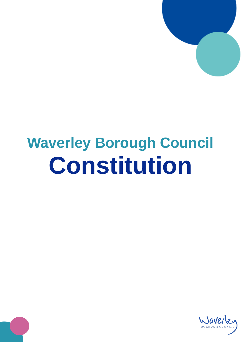

## **Waverley Borough Council Constitution**

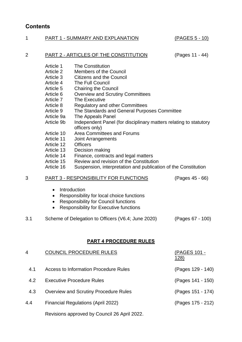## **Contents**

| 1              | PART 1 - SUMMARY AND EXPLANATION                                                                                                                                                                                                                |                                                                                                                                                                                                                                                                                                                                                                                                                                                                                                                                                                                                                                                                        | <u>(PAGES 5 - 10)</u>       |
|----------------|-------------------------------------------------------------------------------------------------------------------------------------------------------------------------------------------------------------------------------------------------|------------------------------------------------------------------------------------------------------------------------------------------------------------------------------------------------------------------------------------------------------------------------------------------------------------------------------------------------------------------------------------------------------------------------------------------------------------------------------------------------------------------------------------------------------------------------------------------------------------------------------------------------------------------------|-----------------------------|
| $\overline{2}$ | PART 2 - ARTICLES OF THE CONSTITUTION                                                                                                                                                                                                           |                                                                                                                                                                                                                                                                                                                                                                                                                                                                                                                                                                                                                                                                        | (Pages 11 - 44)             |
|                | Article 1<br>Article 2<br>Article 3<br>Article 4<br>Article 5<br>Article 6<br>Article 7<br>Article 8<br>Article 9<br>Article 9a<br>Article 9b<br>Article 10<br>Article 11<br>Article 12<br>Article 13<br>Article 14<br>Article 15<br>Article 16 | <b>The Constitution</b><br><b>Members of the Council</b><br><b>Citizens and the Council</b><br>The Full Council<br><b>Chairing the Council</b><br><b>Overview and Scrutiny Committees</b><br>The Executive<br><b>Regulatory and other Committees</b><br>The Standards and General Purposes Committee<br>The Appeals Panel<br>Independent Panel (for disciplinary matters relating to statutory<br>officers only)<br>Area Committees and Forums<br><b>Joint Arrangements</b><br><b>Officers</b><br>Decision making<br>Finance, contracts and legal matters<br>Review and revision of the Constitution<br>Suspension, interpretation and publication of the Constitution |                             |
| 3              |                                                                                                                                                                                                                                                 | PART 3 - RESPONSIBILITY FOR FUNCTIONS                                                                                                                                                                                                                                                                                                                                                                                                                                                                                                                                                                                                                                  | (Pages 45 - 66)             |
|                | $\bullet$<br>$\bullet$<br>$\bullet$                                                                                                                                                                                                             | Introduction<br>Responsibility for local choice functions<br><b>Responsibility for Council functions</b><br>Responsibility for Executive functions                                                                                                                                                                                                                                                                                                                                                                                                                                                                                                                     |                             |
| 3.1            |                                                                                                                                                                                                                                                 | Scheme of Delegation to Officers (V6.4; June 2020)                                                                                                                                                                                                                                                                                                                                                                                                                                                                                                                                                                                                                     | (Pages 67 - 100)            |
|                |                                                                                                                                                                                                                                                 | <b>PART 4 PROCEDURE RULES</b>                                                                                                                                                                                                                                                                                                                                                                                                                                                                                                                                                                                                                                          |                             |
| 4              |                                                                                                                                                                                                                                                 | COUNCIL PROCEDURE RULES                                                                                                                                                                                                                                                                                                                                                                                                                                                                                                                                                                                                                                                | (PAGES 101 -<br><u>128)</u> |
| 4.1            |                                                                                                                                                                                                                                                 | <b>Access to Information Procedure Rules</b>                                                                                                                                                                                                                                                                                                                                                                                                                                                                                                                                                                                                                           | (Pages 129 - 140)           |
| 4.2            |                                                                                                                                                                                                                                                 | <b>Executive Procedure Rules</b>                                                                                                                                                                                                                                                                                                                                                                                                                                                                                                                                                                                                                                       | (Pages 141 - 150)           |
| 4.3            |                                                                                                                                                                                                                                                 | <b>Overview and Scrutiny Procedure Rules</b>                                                                                                                                                                                                                                                                                                                                                                                                                                                                                                                                                                                                                           | (Pages 151 - 174)           |
| 4.4            | <b>Financial Regulations (April 2022)</b>                                                                                                                                                                                                       |                                                                                                                                                                                                                                                                                                                                                                                                                                                                                                                                                                                                                                                                        | (Pages 175 - 212)           |
|                | Revisions approved by Council 26 April 2022.                                                                                                                                                                                                    |                                                                                                                                                                                                                                                                                                                                                                                                                                                                                                                                                                                                                                                                        |                             |